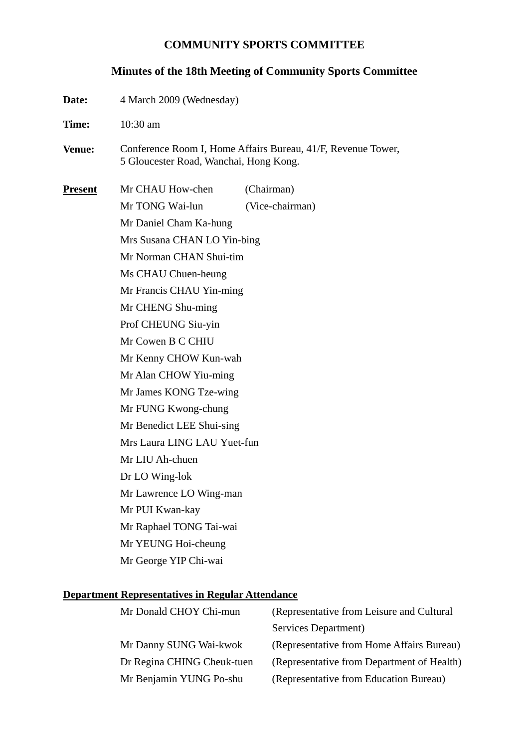#### **COMMUNITY SPORTS COMMITTEE**

#### **Minutes of the 18th Meeting of Community Sports Committee**

- **Date:** 4 March 2009 (Wednesday)
- **Time:** 10:30 am
- **Venue:** Conference Room I, Home Affairs Bureau, 41/F, Revenue Tower, 5 Gloucester Road, Wanchai, Hong Kong.

**Present** Mr CHAU How-chen (Chairman) Mr TONG Wai-lun (Vice-chairman) Mr Daniel Cham Ka-hung Mrs Susana CHAN LO Yin-bing Mr Norman CHAN Shui-tim Ms CHAU Chuen-heung Mr Francis CHAU Yin-ming Mr CHENG Shu-ming Prof CHEUNG Siu-yin Mr Cowen B C CHIU Mr Kenny CHOW Kun-wah Mr Alan CHOW Yiu-ming Mr James KONG Tze-wing Mr FUNG Kwong-chung Mr Benedict LEE Shui-sing Mrs Laura LING LAU Yuet-fun Mr LIU Ah-chuen Dr LO Wing-lok Mr Lawrence LO Wing-man Mr PUI Kwan-kay Mr Raphael TONG Tai-wai Mr YEUNG Hoi-cheung Mr George YIP Chi-wai

#### **Department Representatives in Regular Attendance**

| Mr Donald CHOY Chi-mun     | (Representative from Leisure and Cultural  |
|----------------------------|--------------------------------------------|
|                            | Services Department)                       |
| Mr Danny SUNG Wai-kwok     | (Representative from Home Affairs Bureau)  |
| Dr Regina CHING Cheuk-tuen | (Representative from Department of Health) |
| Mr Benjamin YUNG Po-shu    | (Representative from Education Bureau)     |
|                            |                                            |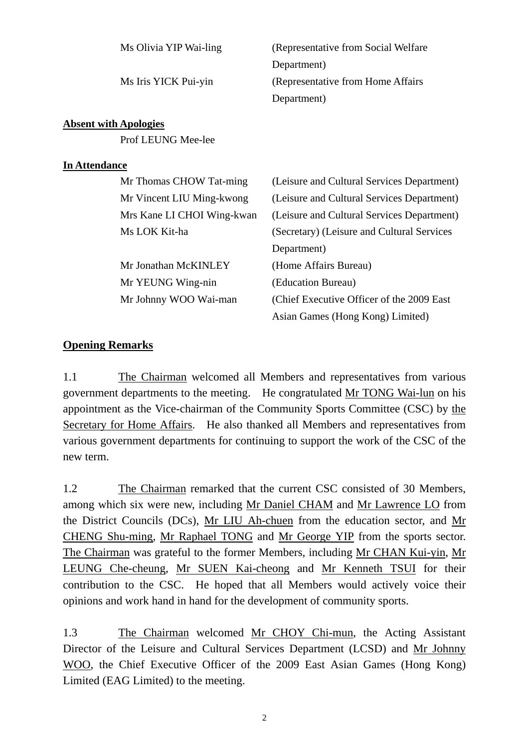|                      | Ms Olivia YIP Wai-ling       | (Representative from Social Welfare)       |
|----------------------|------------------------------|--------------------------------------------|
|                      |                              | Department)                                |
|                      | Ms Iris YICK Pui-yin         | (Representative from Home Affairs)         |
|                      |                              | Department)                                |
|                      | <b>Absent with Apologies</b> |                                            |
|                      | Prof LEUNG Mee-lee           |                                            |
| <b>In Attendance</b> |                              |                                            |
|                      | Mr Thomas CHOW Tat-ming      | (Leisure and Cultural Services Department) |
|                      | Mr Vincent LIU Ming-kwong    | (Leisure and Cultural Services Department) |
|                      | Mrs Kane LI CHOI Wing-kwan   | (Leisure and Cultural Services Department) |
|                      | Ms LOK Kit-ha                | (Secretary) (Leisure and Cultural Services |
|                      |                              | Department)                                |
|                      | Mr Jonathan McKINLEY         | (Home Affairs Bureau)                      |
|                      | Mr YEUNG Wing-nin            | (Education Bureau)                         |
|                      | Mr Johnny WOO Wai-man        | (Chief Executive Officer of the 2009 East) |
|                      |                              | Asian Games (Hong Kong) Limited)           |

### **Opening Remarks**

1.1 The Chairman welcomed all Members and representatives from various government departments to the meeting. He congratulated Mr TONG Wai-lun on his appointment as the Vice-chairman of the Community Sports Committee (CSC) by the Secretary for Home Affairs. He also thanked all Members and representatives from various government departments for continuing to support the work of the CSC of the new term.

1.2 The Chairman remarked that the current CSC consisted of 30 Members, among which six were new, including Mr Daniel CHAM and Mr Lawrence LO from the District Councils (DCs), Mr LIU Ah-chuen from the education sector, and Mr CHENG Shu-ming, Mr Raphael TONG and Mr George YIP from the sports sector. The Chairman was grateful to the former Members, including Mr CHAN Kui-yin, Mr LEUNG Che-cheung, Mr SUEN Kai-cheong and Mr Kenneth TSUI for their contribution to the CSC. He hoped that all Members would actively voice their opinions and work hand in hand for the development of community sports.

1.3 The Chairman welcomed Mr CHOY Chi-mun, the Acting Assistant Director of the Leisure and Cultural Services Department (LCSD) and Mr Johnny WOO, the Chief Executive Officer of the 2009 East Asian Games (Hong Kong) Limited (EAG Limited) to the meeting.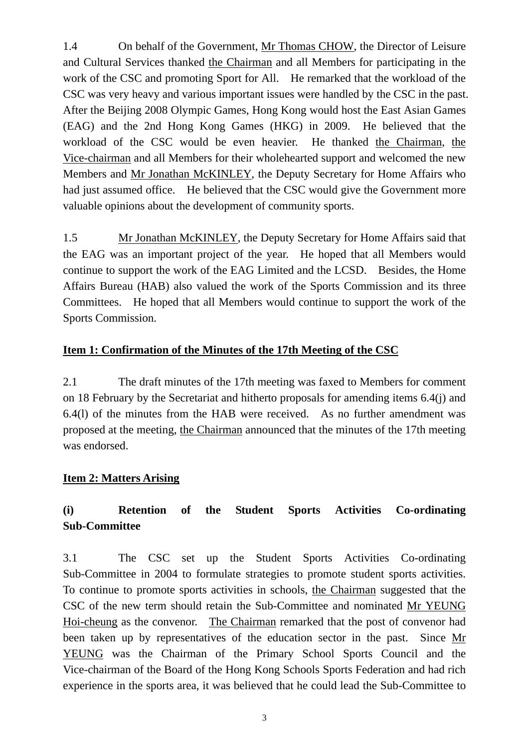1.4 On behalf of the Government, Mr Thomas CHOW, the Director of Leisure and Cultural Services thanked the Chairman and all Members for participating in the work of the CSC and promoting Sport for All. He remarked that the workload of the CSC was very heavy and various important issues were handled by the CSC in the past. After the Beijing 2008 Olympic Games, Hong Kong would host the East Asian Games (EAG) and the 2nd Hong Kong Games (HKG) in 2009. He believed that the workload of the CSC would be even heavier. He thanked the Chairman, the Vice-chairman and all Members for their wholehearted support and welcomed the new Members and Mr Jonathan McKINLEY, the Deputy Secretary for Home Affairs who had just assumed office. He believed that the CSC would give the Government more valuable opinions about the development of community sports.

1.5 Mr Jonathan McKINLEY, the Deputy Secretary for Home Affairs said that the EAG was an important project of the year. He hoped that all Members would continue to support the work of the EAG Limited and the LCSD. Besides, the Home Affairs Bureau (HAB) also valued the work of the Sports Commission and its three Committees. He hoped that all Members would continue to support the work of the Sports Commission.

### **Item 1: Confirmation of the Minutes of the 17th Meeting of the CSC**

2.1 The draft minutes of the 17th meeting was faxed to Members for comment on 18 February by the Secretariat and hitherto proposals for amending items 6.4(j) and 6.4(l) of the minutes from the HAB were received. As no further amendment was proposed at the meeting, the Chairman announced that the minutes of the 17th meeting was endorsed.

### **Item 2: Matters Arising**

## **(i) Retention of the Student Sports Activities Co-ordinating Sub-Committee**

3.1 The CSC set up the Student Sports Activities Co-ordinating Sub-Committee in 2004 to formulate strategies to promote student sports activities. To continue to promote sports activities in schools, the Chairman suggested that the CSC of the new term should retain the Sub-Committee and nominated Mr YEUNG Hoi-cheung as the convenor. The Chairman remarked that the post of convenor had been taken up by representatives of the education sector in the past. Since Mr YEUNG was the Chairman of the Primary School Sports Council and the Vice-chairman of the Board of the Hong Kong Schools Sports Federation and had rich experience in the sports area, it was believed that he could lead the Sub-Committee to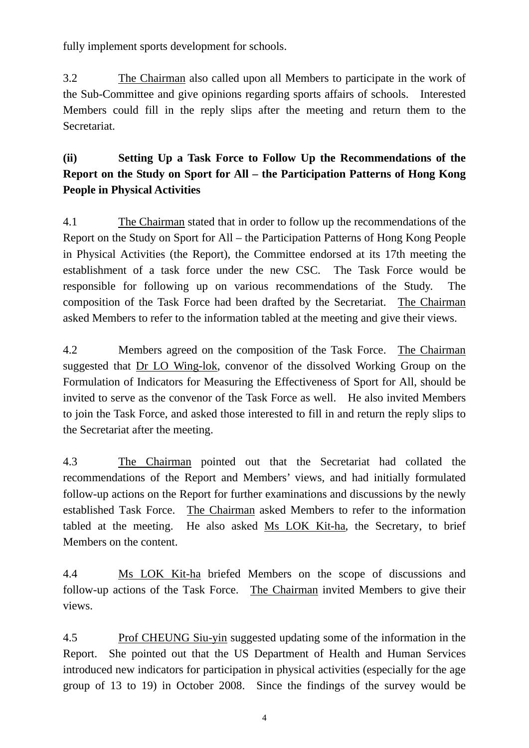fully implement sports development for schools.

3.2 The Chairman also called upon all Members to participate in the work of the Sub-Committee and give opinions regarding sports affairs of schools. Interested Members could fill in the reply slips after the meeting and return them to the Secretariat.

# **(ii) Setting Up a Task Force to Follow Up the Recommendations of the Report on the Study on Sport for All – the Participation Patterns of Hong Kong People in Physical Activities**

4.1 The Chairman stated that in order to follow up the recommendations of the Report on the Study on Sport for All – the Participation Patterns of Hong Kong People in Physical Activities (the Report), the Committee endorsed at its 17th meeting the establishment of a task force under the new CSC. The Task Force would be responsible for following up on various recommendations of the Study. The composition of the Task Force had been drafted by the Secretariat. The Chairman asked Members to refer to the information tabled at the meeting and give their views.

4.2 Members agreed on the composition of the Task Force. The Chairman suggested that Dr LO Wing-lok, convenor of the dissolved Working Group on the Formulation of Indicators for Measuring the Effectiveness of Sport for All, should be invited to serve as the convenor of the Task Force as well. He also invited Members to join the Task Force, and asked those interested to fill in and return the reply slips to the Secretariat after the meeting.

4.3 The Chairman pointed out that the Secretariat had collated the recommendations of the Report and Members' views, and had initially formulated follow-up actions on the Report for further examinations and discussions by the newly established Task Force. The Chairman asked Members to refer to the information tabled at the meeting. He also asked Ms LOK Kit-ha, the Secretary, to brief Members on the content.

4.4 Ms LOK Kit-ha briefed Members on the scope of discussions and follow-up actions of the Task Force. The Chairman invited Members to give their views.

4.5 Prof CHEUNG Siu-yin suggested updating some of the information in the Report. She pointed out that the US Department of Health and Human Services introduced new indicators for participation in physical activities (especially for the age group of 13 to 19) in October 2008. Since the findings of the survey would be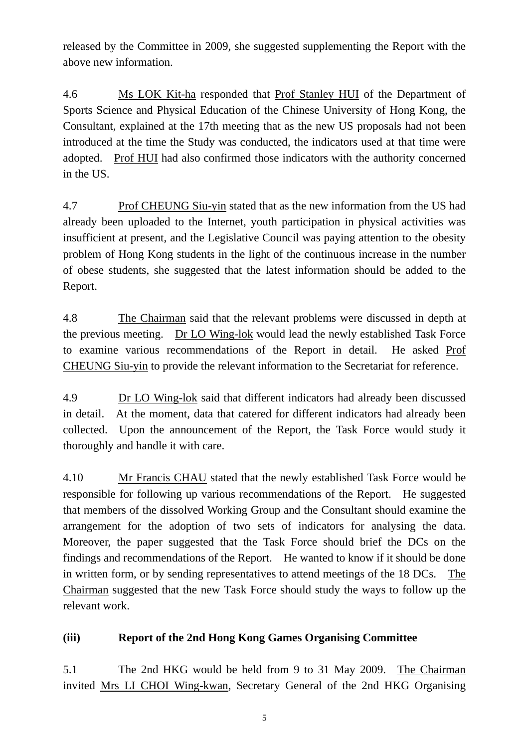released by the Committee in 2009, she suggested supplementing the Report with the above new information.

4.6 Ms LOK Kit-ha responded that Prof Stanley HUI of the Department of Sports Science and Physical Education of the Chinese University of Hong Kong, the Consultant, explained at the 17th meeting that as the new US proposals had not been introduced at the time the Study was conducted, the indicators used at that time were adopted. Prof HUI had also confirmed those indicators with the authority concerned in the US.

4.7 Prof CHEUNG Siu-yin stated that as the new information from the US had already been uploaded to the Internet, youth participation in physical activities was insufficient at present, and the Legislative Council was paying attention to the obesity problem of Hong Kong students in the light of the continuous increase in the number of obese students, she suggested that the latest information should be added to the Report.

4.8 The Chairman said that the relevant problems were discussed in depth at the previous meeting. Dr LO Wing-lok would lead the newly established Task Force to examine various recommendations of the Report in detail. He asked Prof CHEUNG Siu-yin to provide the relevant information to the Secretariat for reference.

4.9 Dr LO Wing-lok said that different indicators had already been discussed in detail. At the moment, data that catered for different indicators had already been collected. Upon the announcement of the Report, the Task Force would study it thoroughly and handle it with care.

4.10 Mr Francis CHAU stated that the newly established Task Force would be responsible for following up various recommendations of the Report. He suggested that members of the dissolved Working Group and the Consultant should examine the arrangement for the adoption of two sets of indicators for analysing the data. Moreover, the paper suggested that the Task Force should brief the DCs on the findings and recommendations of the Report. He wanted to know if it should be done in written form, or by sending representatives to attend meetings of the 18 DCs. The Chairman suggested that the new Task Force should study the ways to follow up the relevant work.

## **(iii) Report of the 2nd Hong Kong Games Organising Committee**

5.1 The 2nd HKG would be held from 9 to 31 May 2009. The Chairman invited Mrs LI CHOI Wing-kwan, Secretary General of the 2nd HKG Organising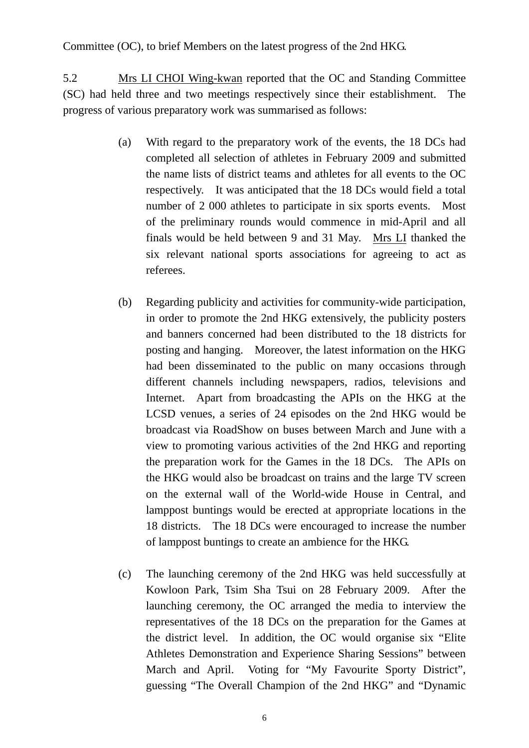Committee (OC), to brief Members on the latest progress of the 2nd HKG.

5.2 Mrs LI CHOI Wing-kwan reported that the OC and Standing Committee (SC) had held three and two meetings respectively since their establishment. The progress of various preparatory work was summarised as follows:

- (a) With regard to the preparatory work of the events, the 18 DCs had completed all selection of athletes in February 2009 and submitted the name lists of district teams and athletes for all events to the OC respectively. It was anticipated that the 18 DCs would field a total number of 2 000 athletes to participate in six sports events. Most of the preliminary rounds would commence in mid-April and all finals would be held between 9 and 31 May. Mrs LI thanked the six relevant national sports associations for agreeing to act as referees.
- (b) Regarding publicity and activities for community-wide participation, in order to promote the 2nd HKG extensively, the publicity posters and banners concerned had been distributed to the 18 districts for posting and hanging. Moreover, the latest information on the HKG had been disseminated to the public on many occasions through different channels including newspapers, radios, televisions and Internet. Apart from broadcasting the APIs on the HKG at the LCSD venues, a series of 24 episodes on the 2nd HKG would be broadcast via RoadShow on buses between March and June with a view to promoting various activities of the 2nd HKG and reporting the preparation work for the Games in the 18 DCs. The APIs on the HKG would also be broadcast on trains and the large TV screen on the external wall of the World-wide House in Central, and lamppost buntings would be erected at appropriate locations in the 18 districts. The 18 DCs were encouraged to increase the number of lamppost buntings to create an ambience for the HKG.
- (c) The launching ceremony of the 2nd HKG was held successfully at Kowloon Park, Tsim Sha Tsui on 28 February 2009. After the launching ceremony, the OC arranged the media to interview the representatives of the 18 DCs on the preparation for the Games at the district level. In addition, the OC would organise six "Elite Athletes Demonstration and Experience Sharing Sessions" between March and April. Voting for "My Favourite Sporty District", guessing "The Overall Champion of the 2nd HKG" and "Dynamic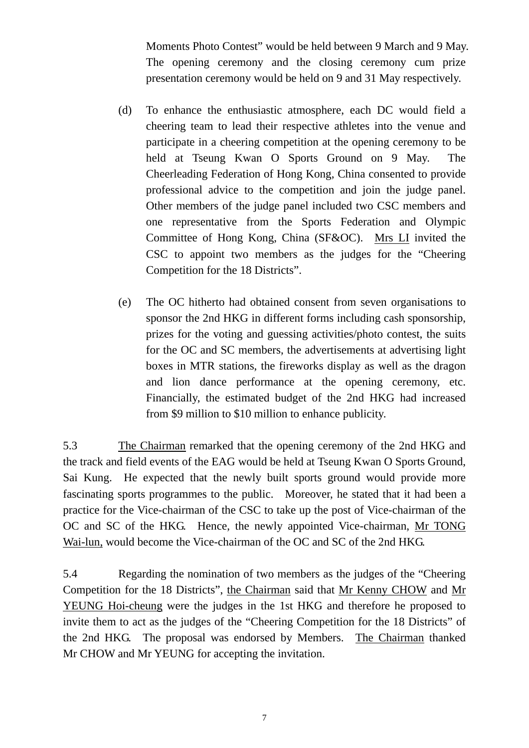Moments Photo Contest" would be held between 9 March and 9 May. The opening ceremony and the closing ceremony cum prize presentation ceremony would be held on 9 and 31 May respectively.

- (d) To enhance the enthusiastic atmosphere, each DC would field a cheering team to lead their respective athletes into the venue and participate in a cheering competition at the opening ceremony to be held at Tseung Kwan O Sports Ground on 9 May. The Cheerleading Federation of Hong Kong, China consented to provide professional advice to the competition and join the judge panel. Other members of the judge panel included two CSC members and one representative from the Sports Federation and Olympic Committee of Hong Kong, China (SF&OC). Mrs LI invited the CSC to appoint two members as the judges for the "Cheering Competition for the 18 Districts".
- (e) The OC hitherto had obtained consent from seven organisations to sponsor the 2nd HKG in different forms including cash sponsorship, prizes for the voting and guessing activities/photo contest, the suits for the OC and SC members, the advertisements at advertising light boxes in MTR stations, the fireworks display as well as the dragon and lion dance performance at the opening ceremony, etc. Financially, the estimated budget of the 2nd HKG had increased from \$9 million to \$10 million to enhance publicity.

5.3 The Chairman remarked that the opening ceremony of the 2nd HKG and the track and field events of the EAG would be held at Tseung Kwan O Sports Ground, Sai Kung. He expected that the newly built sports ground would provide more fascinating sports programmes to the public. Moreover, he stated that it had been a practice for the Vice-chairman of the CSC to take up the post of Vice-chairman of the OC and SC of the HKG. Hence, the newly appointed Vice-chairman, Mr TONG Wai-lun, would become the Vice-chairman of the OC and SC of the 2nd HKG.

5.4 Regarding the nomination of two members as the judges of the "Cheering Competition for the 18 Districts", the Chairman said that Mr Kenny CHOW and Mr YEUNG Hoi-cheung were the judges in the 1st HKG and therefore he proposed to invite them to act as the judges of the "Cheering Competition for the 18 Districts" of the 2nd HKG. The proposal was endorsed by Members. The Chairman thanked Mr CHOW and Mr YEUNG for accepting the invitation.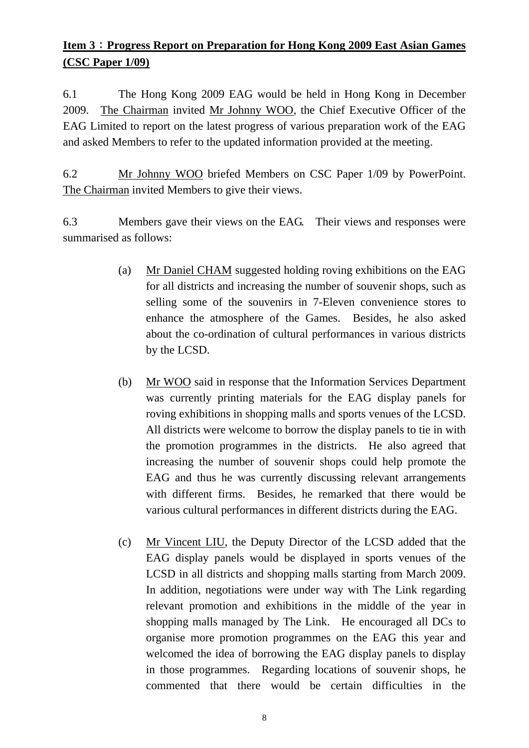# **Item 3**:**Progress Report on Preparation for Hong Kong 2009 East Asian Games (CSC Paper 1/09)**

6.1 The Hong Kong 2009 EAG would be held in Hong Kong in December 2009. The Chairman invited Mr Johnny WOO, the Chief Executive Officer of the EAG Limited to report on the latest progress of various preparation work of the EAG and asked Members to refer to the updated information provided at the meeting.

6.2 Mr Johnny WOO briefed Members on CSC Paper 1/09 by PowerPoint. The Chairman invited Members to give their views.

6.3 Members gave their views on the EAG. Their views and responses were summarised as follows:

- (a) Mr Daniel CHAM suggested holding roving exhibitions on the EAG for all districts and increasing the number of souvenir shops, such as selling some of the souvenirs in 7-Eleven convenience stores to enhance the atmosphere of the Games. Besides, he also asked about the co-ordination of cultural performances in various districts by the LCSD.
- (b) Mr WOO said in response that the Information Services Department was currently printing materials for the EAG display panels for roving exhibitions in shopping malls and sports venues of the LCSD. All districts were welcome to borrow the display panels to tie in with the promotion programmes in the districts. He also agreed that increasing the number of souvenir shops could help promote the EAG and thus he was currently discussing relevant arrangements with different firms. Besides, he remarked that there would be various cultural performances in different districts during the EAG.
- (c) Mr Vincent LIU, the Deputy Director of the LCSD added that the EAG display panels would be displayed in sports venues of the LCSD in all districts and shopping malls starting from March 2009. In addition, negotiations were under way with The Link regarding relevant promotion and exhibitions in the middle of the year in shopping malls managed by The Link. He encouraged all DCs to organise more promotion programmes on the EAG this year and welcomed the idea of borrowing the EAG display panels to display in those programmes. Regarding locations of souvenir shops, he commented that there would be certain difficulties in the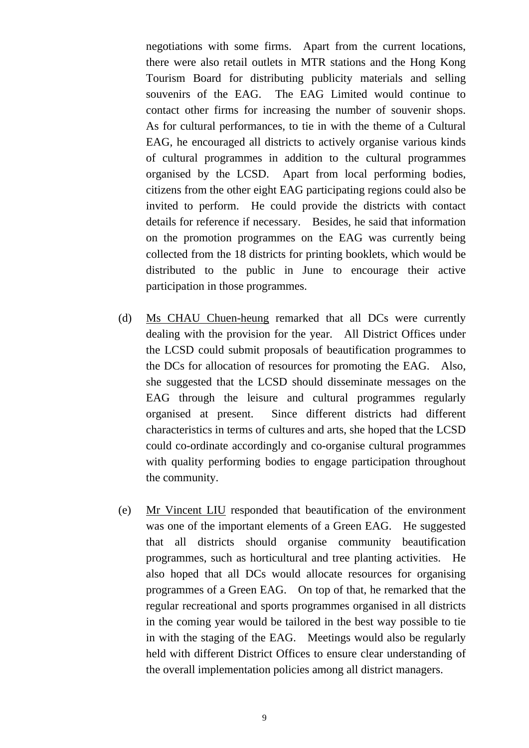negotiations with some firms. Apart from the current locations, there were also retail outlets in MTR stations and the Hong Kong Tourism Board for distributing publicity materials and selling souvenirs of the EAG. The EAG Limited would continue to contact other firms for increasing the number of souvenir shops. As for cultural performances, to tie in with the theme of a Cultural EAG, he encouraged all districts to actively organise various kinds of cultural programmes in addition to the cultural programmes organised by the LCSD. Apart from local performing bodies, citizens from the other eight EAG participating regions could also be invited to perform. He could provide the districts with contact details for reference if necessary. Besides, he said that information on the promotion programmes on the EAG was currently being collected from the 18 districts for printing booklets, which would be distributed to the public in June to encourage their active participation in those programmes.

- (d) Ms CHAU Chuen-heung remarked that all DCs were currently dealing with the provision for the year. All District Offices under the LCSD could submit proposals of beautification programmes to the DCs for allocation of resources for promoting the EAG. Also, she suggested that the LCSD should disseminate messages on the EAG through the leisure and cultural programmes regularly organised at present. Since different districts had different characteristics in terms of cultures and arts, she hoped that the LCSD could co-ordinate accordingly and co-organise cultural programmes with quality performing bodies to engage participation throughout the community.
- (e) Mr Vincent LIU responded that beautification of the environment was one of the important elements of a Green EAG. He suggested that all districts should organise community beautification programmes, such as horticultural and tree planting activities. He also hoped that all DCs would allocate resources for organising programmes of a Green EAG. On top of that, he remarked that the regular recreational and sports programmes organised in all districts in the coming year would be tailored in the best way possible to tie in with the staging of the EAG. Meetings would also be regularly held with different District Offices to ensure clear understanding of the overall implementation policies among all district managers.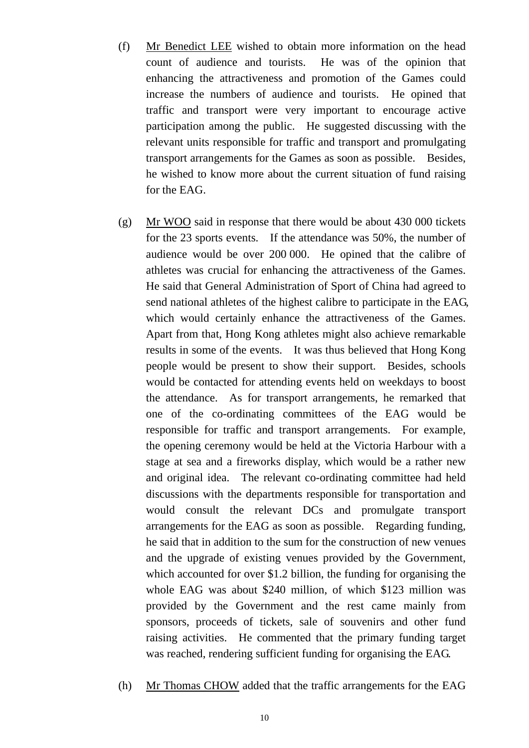- (f) Mr Benedict LEE wished to obtain more information on the head count of audience and tourists. He was of the opinion that enhancing the attractiveness and promotion of the Games could increase the numbers of audience and tourists. He opined that traffic and transport were very important to encourage active participation among the public. He suggested discussing with the relevant units responsible for traffic and transport and promulgating transport arrangements for the Games as soon as possible. Besides, he wished to know more about the current situation of fund raising for the EAG.
- (g) Mr WOO said in response that there would be about 430 000 tickets for the 23 sports events. If the attendance was 50%, the number of audience would be over 200 000. He opined that the calibre of athletes was crucial for enhancing the attractiveness of the Games. He said that General Administration of Sport of China had agreed to send national athletes of the highest calibre to participate in the EAG, which would certainly enhance the attractiveness of the Games. Apart from that, Hong Kong athletes might also achieve remarkable results in some of the events. It was thus believed that Hong Kong people would be present to show their support. Besides, schools would be contacted for attending events held on weekdays to boost the attendance. As for transport arrangements, he remarked that one of the co-ordinating committees of the EAG would be responsible for traffic and transport arrangements. For example, the opening ceremony would be held at the Victoria Harbour with a stage at sea and a fireworks display, which would be a rather new and original idea. The relevant co-ordinating committee had held discussions with the departments responsible for transportation and would consult the relevant DCs and promulgate transport arrangements for the EAG as soon as possible. Regarding funding, he said that in addition to the sum for the construction of new venues and the upgrade of existing venues provided by the Government, which accounted for over \$1.2 billion, the funding for organising the whole EAG was about \$240 million, of which \$123 million was provided by the Government and the rest came mainly from sponsors, proceeds of tickets, sale of souvenirs and other fund raising activities. He commented that the primary funding target was reached, rendering sufficient funding for organising the EAG.
- (h) Mr Thomas CHOW added that the traffic arrangements for the EAG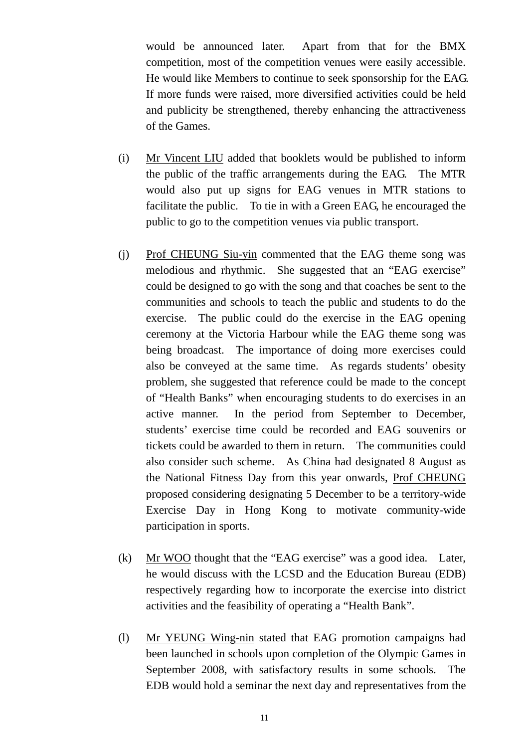would be announced later. Apart from that for the BMX competition, most of the competition venues were easily accessible. He would like Members to continue to seek sponsorship for the EAG. If more funds were raised, more diversified activities could be held and publicity be strengthened, thereby enhancing the attractiveness of the Games.

- (i) Mr Vincent LIU added that booklets would be published to inform the public of the traffic arrangements during the EAG. The MTR would also put up signs for EAG venues in MTR stations to facilitate the public. To tie in with a Green EAG, he encouraged the public to go to the competition venues via public transport.
- (j) Prof CHEUNG Siu-yin commented that the EAG theme song was melodious and rhythmic. She suggested that an "EAG exercise" could be designed to go with the song and that coaches be sent to the communities and schools to teach the public and students to do the exercise. The public could do the exercise in the EAG opening ceremony at the Victoria Harbour while the EAG theme song was being broadcast. The importance of doing more exercises could also be conveyed at the same time. As regards students' obesity problem, she suggested that reference could be made to the concept of "Health Banks" when encouraging students to do exercises in an active manner. In the period from September to December, students' exercise time could be recorded and EAG souvenirs or tickets could be awarded to them in return. The communities could also consider such scheme. As China had designated 8 August as the National Fitness Day from this year onwards, Prof CHEUNG proposed considering designating 5 December to be a territory-wide Exercise Day in Hong Kong to motivate community-wide participation in sports.
- (k) Mr WOO thought that the "EAG exercise" was a good idea. Later, he would discuss with the LCSD and the Education Bureau (EDB) respectively regarding how to incorporate the exercise into district activities and the feasibility of operating a "Health Bank".
- (l) Mr YEUNG Wing-nin stated that EAG promotion campaigns had been launched in schools upon completion of the Olympic Games in September 2008, with satisfactory results in some schools. The EDB would hold a seminar the next day and representatives from the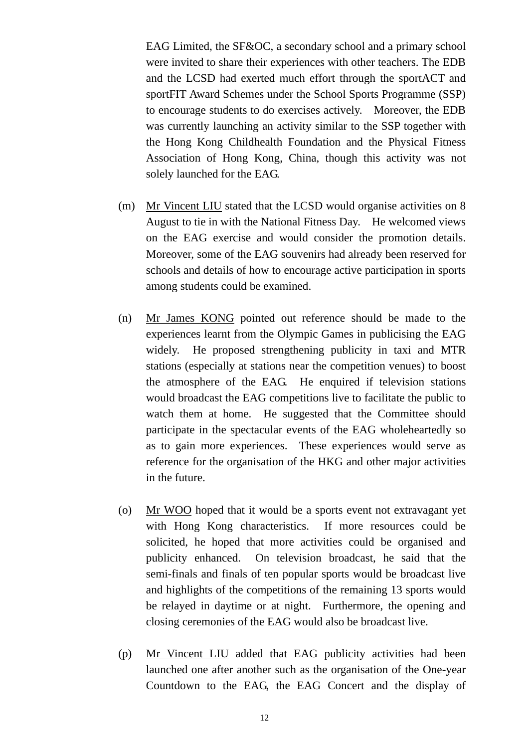EAG Limited, the SF&OC, a secondary school and a primary school were invited to share their experiences with other teachers. The EDB and the LCSD had exerted much effort through the sportACT and sportFIT Award Schemes under the School Sports Programme (SSP) to encourage students to do exercises actively. Moreover, the EDB was currently launching an activity similar to the SSP together with the Hong Kong Childhealth Foundation and the Physical Fitness Association of Hong Kong, China, though this activity was not solely launched for the EAG.

- (m) Mr Vincent LIU stated that the LCSD would organise activities on 8 August to tie in with the National Fitness Day. He welcomed views on the EAG exercise and would consider the promotion details. Moreover, some of the EAG souvenirs had already been reserved for schools and details of how to encourage active participation in sports among students could be examined.
- (n) Mr James KONG pointed out reference should be made to the experiences learnt from the Olympic Games in publicising the EAG widely. He proposed strengthening publicity in taxi and MTR stations (especially at stations near the competition venues) to boost the atmosphere of the EAG. He enquired if television stations would broadcast the EAG competitions live to facilitate the public to watch them at home. He suggested that the Committee should participate in the spectacular events of the EAG wholeheartedly so as to gain more experiences. These experiences would serve as reference for the organisation of the HKG and other major activities in the future.
- (o) Mr WOO hoped that it would be a sports event not extravagant yet with Hong Kong characteristics. If more resources could be solicited, he hoped that more activities could be organised and publicity enhanced. On television broadcast, he said that the semi-finals and finals of ten popular sports would be broadcast live and highlights of the competitions of the remaining 13 sports would be relayed in daytime or at night. Furthermore, the opening and closing ceremonies of the EAG would also be broadcast live.
- (p) Mr Vincent LIU added that EAG publicity activities had been launched one after another such as the organisation of the One-year Countdown to the EAG, the EAG Concert and the display of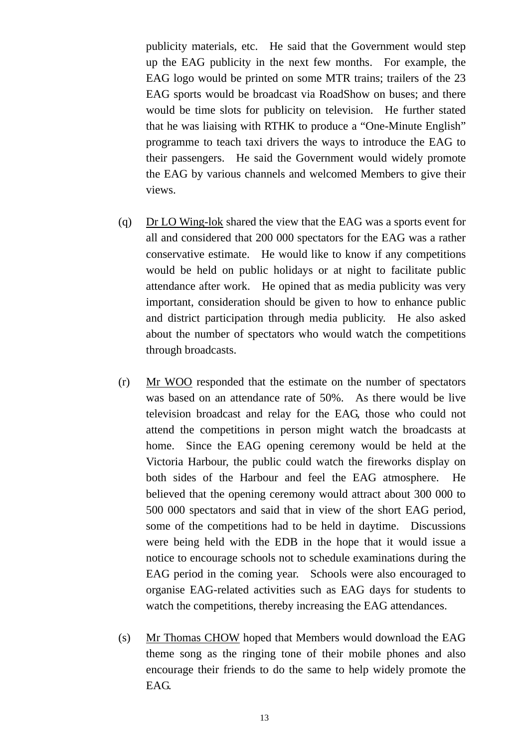publicity materials, etc. He said that the Government would step up the EAG publicity in the next few months. For example, the EAG logo would be printed on some MTR trains; trailers of the 23 EAG sports would be broadcast via RoadShow on buses; and there would be time slots for publicity on television. He further stated that he was liaising with RTHK to produce a "One-Minute English" programme to teach taxi drivers the ways to introduce the EAG to their passengers. He said the Government would widely promote the EAG by various channels and welcomed Members to give their views.

- (q) Dr LO Wing-lok shared the view that the EAG was a sports event for all and considered that 200 000 spectators for the EAG was a rather conservative estimate. He would like to know if any competitions would be held on public holidays or at night to facilitate public attendance after work. He opined that as media publicity was very important, consideration should be given to how to enhance public and district participation through media publicity. He also asked about the number of spectators who would watch the competitions through broadcasts.
- (r) Mr WOO responded that the estimate on the number of spectators was based on an attendance rate of 50%. As there would be live television broadcast and relay for the EAG, those who could not attend the competitions in person might watch the broadcasts at home. Since the EAG opening ceremony would be held at the Victoria Harbour, the public could watch the fireworks display on both sides of the Harbour and feel the EAG atmosphere. He believed that the opening ceremony would attract about 300 000 to 500 000 spectators and said that in view of the short EAG period, some of the competitions had to be held in daytime. Discussions were being held with the EDB in the hope that it would issue a notice to encourage schools not to schedule examinations during the EAG period in the coming year. Schools were also encouraged to organise EAG-related activities such as EAG days for students to watch the competitions, thereby increasing the EAG attendances.
- (s) Mr Thomas CHOW hoped that Members would download the EAG theme song as the ringing tone of their mobile phones and also encourage their friends to do the same to help widely promote the EAG.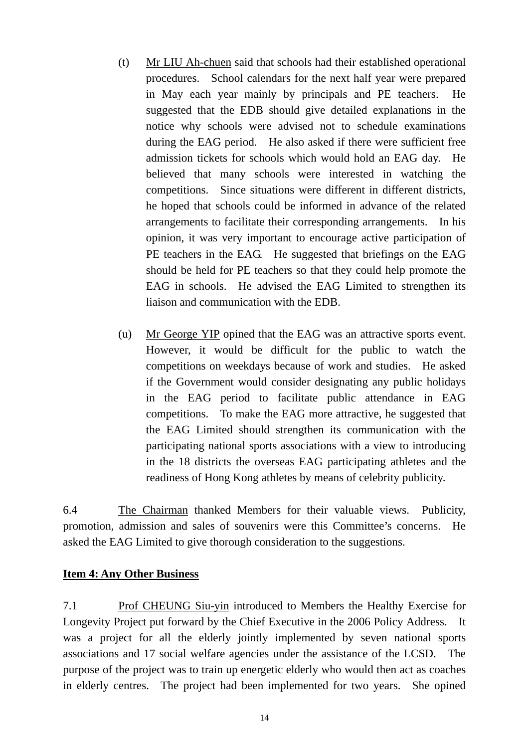- (t) Mr LIU Ah-chuen said that schools had their established operational procedures. School calendars for the next half year were prepared in May each year mainly by principals and PE teachers. He suggested that the EDB should give detailed explanations in the notice why schools were advised not to schedule examinations during the EAG period. He also asked if there were sufficient free admission tickets for schools which would hold an EAG day. He believed that many schools were interested in watching the competitions. Since situations were different in different districts, he hoped that schools could be informed in advance of the related arrangements to facilitate their corresponding arrangements. In his opinion, it was very important to encourage active participation of PE teachers in the EAG. He suggested that briefings on the EAG should be held for PE teachers so that they could help promote the EAG in schools. He advised the EAG Limited to strengthen its liaison and communication with the EDB.
- (u) Mr George YIP opined that the EAG was an attractive sports event. However, it would be difficult for the public to watch the competitions on weekdays because of work and studies. He asked if the Government would consider designating any public holidays in the EAG period to facilitate public attendance in EAG competitions. To make the EAG more attractive, he suggested that the EAG Limited should strengthen its communication with the participating national sports associations with a view to introducing in the 18 districts the overseas EAG participating athletes and the readiness of Hong Kong athletes by means of celebrity publicity.

6.4 The Chairman thanked Members for their valuable views. Publicity, promotion, admission and sales of souvenirs were this Committee's concerns. He asked the EAG Limited to give thorough consideration to the suggestions.

#### **Item 4: Any Other Business**

7.1 Prof CHEUNG Siu-yin introduced to Members the Healthy Exercise for Longevity Project put forward by the Chief Executive in the 2006 Policy Address. It was a project for all the elderly jointly implemented by seven national sports associations and 17 social welfare agencies under the assistance of the LCSD. The purpose of the project was to train up energetic elderly who would then act as coaches in elderly centres. The project had been implemented for two years. She opined